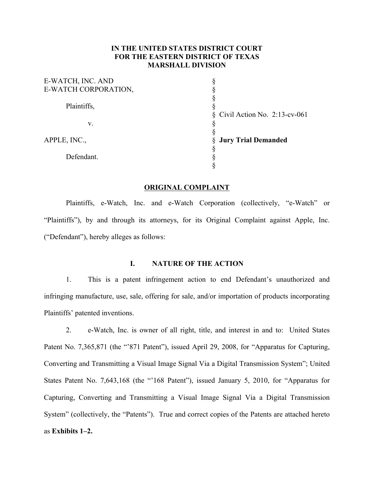### **IN THE UNITED STATES DISTRICT COURT FOR THE EASTERN DISTRICT OF TEXAS MARSHALL DIVISION**

| E-WATCH, INC. AND    |                                   |
|----------------------|-----------------------------------|
| E-WATCH CORPORATION, |                                   |
|                      |                                   |
| Plaintiffs,          |                                   |
|                      | $\S$ Civil Action No. 2:13-cv-061 |
| V.                   |                                   |
|                      |                                   |
| APPLE, INC.,         | § Jury Trial Demanded             |
|                      |                                   |
| Defendant.           |                                   |
|                      |                                   |

#### **ORIGINAL COMPLAINT**

Plaintiffs, e-Watch, Inc. and e-Watch Corporation (collectively, "e-Watch" or "Plaintiffs"), by and through its attorneys, for its Original Complaint against Apple, Inc. ("Defendant"), hereby alleges as follows:

## **I. NATURE OF THE ACTION**

1. This is a patent infringement action to end Defendant's unauthorized and infringing manufacture, use, sale, offering for sale, and/or importation of products incorporating Plaintiffs' patented inventions.

2. e-Watch, Inc. is owner of all right, title, and interest in and to: United States Patent No. 7,365,871 (the "871 Patent"), issued April 29, 2008, for "Apparatus for Capturing, Converting and Transmitting a Visual Image Signal Via a Digital Transmission System"; United States Patent No. 7,643,168 (the "'168 Patent"), issued January 5, 2010, for "Apparatus for Capturing, Converting and Transmitting a Visual Image Signal Via a Digital Transmission System" (collectively, the "Patents"). True and correct copies of the Patents are attached hereto as **Exhibits 1–2.**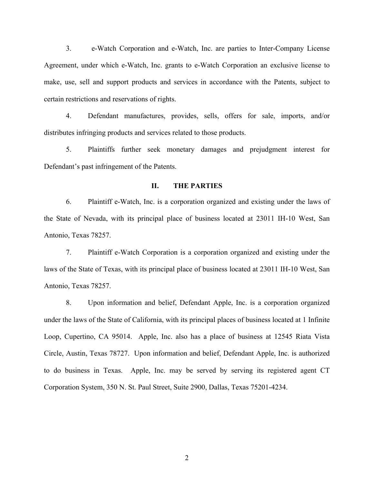3. e-Watch Corporation and e-Watch, Inc. are parties to Inter-Company License Agreement, under which e-Watch, Inc. grants to e-Watch Corporation an exclusive license to make, use, sell and support products and services in accordance with the Patents, subject to certain restrictions and reservations of rights.

4. Defendant manufactures, provides, sells, offers for sale, imports, and/or distributes infringing products and services related to those products.

5. Plaintiffs further seek monetary damages and prejudgment interest for Defendant's past infringement of the Patents.

#### **II. THE PARTIES**

6. Plaintiff e-Watch, Inc. is a corporation organized and existing under the laws of the State of Nevada, with its principal place of business located at 23011 IH-10 West, San Antonio, Texas 78257.

7. Plaintiff e-Watch Corporation is a corporation organized and existing under the laws of the State of Texas, with its principal place of business located at 23011 IH-10 West, San Antonio, Texas 78257.

8. Upon information and belief, Defendant Apple, Inc. is a corporation organized under the laws of the State of California, with its principal places of business located at 1 Infinite Loop, Cupertino, CA 95014. Apple, Inc. also has a place of business at 12545 Riata Vista Circle, Austin, Texas 78727. Upon information and belief, Defendant Apple, Inc. is authorized to do business in Texas. Apple, Inc. may be served by serving its registered agent CT Corporation System, 350 N. St. Paul Street, Suite 2900, Dallas, Texas 75201-4234.

2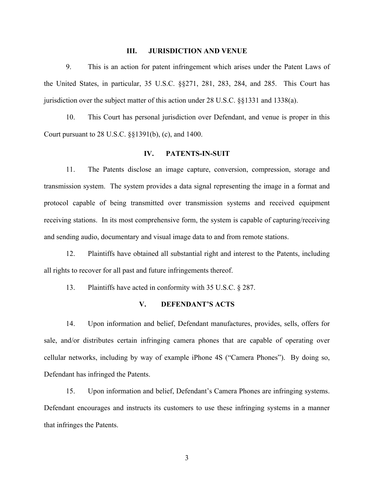#### **III. JURISDICTION AND VENUE**

9. This is an action for patent infringement which arises under the Patent Laws of the United States, in particular, 35 U.S.C. §§271, 281, 283, 284, and 285. This Court has jurisdiction over the subject matter of this action under 28 U.S.C. §§1331 and 1338(a).

10. This Court has personal jurisdiction over Defendant, and venue is proper in this Court pursuant to 28 U.S.C. §§1391(b), (c), and 1400.

#### **IV. PATENTS-IN-SUIT**

11. The Patents disclose an image capture, conversion, compression, storage and transmission system. The system provides a data signal representing the image in a format and protocol capable of being transmitted over transmission systems and received equipment receiving stations. In its most comprehensive form, the system is capable of capturing/receiving and sending audio, documentary and visual image data to and from remote stations.

12. Plaintiffs have obtained all substantial right and interest to the Patents, including all rights to recover for all past and future infringements thereof.

13. Plaintiffs have acted in conformity with 35 U.S.C. § 287.

### **V. DEFENDANT'S ACTS**

14. Upon information and belief, Defendant manufactures, provides, sells, offers for sale, and/or distributes certain infringing camera phones that are capable of operating over cellular networks, including by way of example iPhone 4S ("Camera Phones"). By doing so, Defendant has infringed the Patents.

15. Upon information and belief, Defendant's Camera Phones are infringing systems. Defendant encourages and instructs its customers to use these infringing systems in a manner that infringes the Patents.

3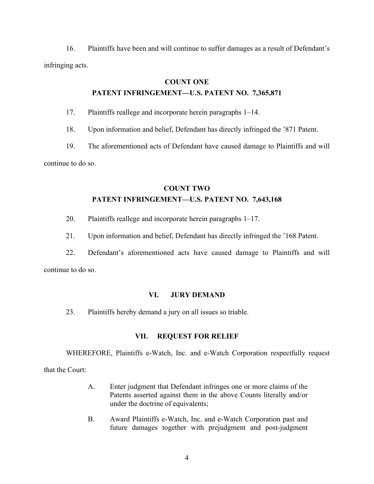16. Plaintiffs have been and will continue to suffer damages as a result of Defendant's infringing acts.

### **COUNT ONE**

# **PATENT INFRINGEMENT—U.S. PATENT NO. 7,365,871**

17. Plaintiffs reallege and incorporate herein paragraphs 1–14.

18. Upon information and belief, Defendant has directly infringed the '871 Patent.

19. The aforementioned acts of Defendant have caused damage to Plaintiffs and will continue to do so.

## **COUNT TWO**

## **PATENT INFRINGEMENT—U.S. PATENT NO. 7,643,168**

- 20. Plaintiffs reallege and incorporate herein paragraphs 1–17.
- 21. Upon information and belief, Defendant has directly infringed the '168 Patent.

22. Defendant's aforementioned acts have caused damage to Plaintiffs and will continue to do so.

### **VI. JURY DEMAND**

23. Plaintiffs hereby demand a jury on all issues so triable.

## **VII. REQUEST FOR RELIEF**

WHEREFORE, Plaintiffs e-Watch, Inc. and e-Watch Corporation respectfully request

that the Court:

- A. Enter judgment that Defendant infringes one or more claims of the Patents asserted against them in the above Counts literally and/or under the doctrine of equivalents;
- B. Award Plaintiffs e-Watch, Inc. and e-Watch Corporation past and future damages together with prejudgment and post-judgment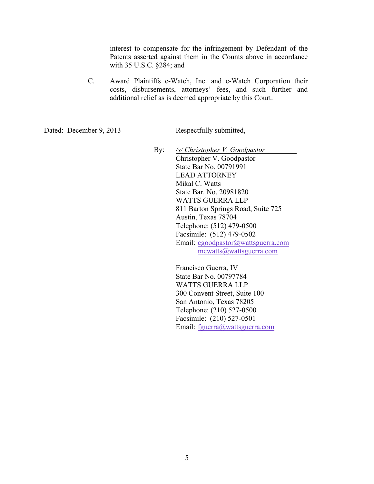interest to compensate for the infringement by Defendant of the Patents asserted against them in the Counts above in accordance with 35 U.S.C. §284; and

C. Award Plaintiffs e-Watch, Inc. and e-Watch Corporation their costs, disbursements, attorneys' fees, and such further and additional relief as is deemed appropriate by this Court.

Dated: December 9, 2013 Respectfully submitted,

By: */s/ Christopher V. Goodpastor* Christopher V. Goodpastor State Bar No. 00791991 LEAD ATTORNEY Mikal C. Watts State Bar. No. 20981820 WATTS GUERRA LLP 811 Barton Springs Road, Suite 725 Austin, Texas 78704 Telephone: (512) 479-0500 Facsimile: (512) 479-0502 Email: cgoodpastor@wattsguerra.com mcwatts@wattsguerra.com

> Francisco Guerra, IV State Bar No. 00797784 WATTS GUERRA LLP 300 Convent Street, Suite 100 San Antonio, Texas 78205 Telephone: (210) 527-0500 Facsimile: (210) 527-0501 Email: fguerra@wattsguerra.com